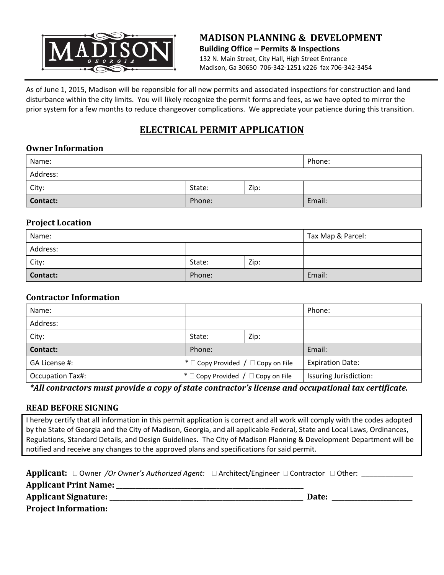

## **MADISON PLANNING & DEVELOPMENT Building Office – Permits & Inspections** 132 N. Main Street, City Hall, High Street Entrance Madison, Ga 30650 706‐342‐1251 x226 fax 706‐342‐3454

As of June 1, 2015, Madison will be reponsible for all new permits and associated inspections for construction and land disturbance within the city limits. You will likely recognize the permit forms and fees, as we have opted to mirror the prior system for a few months to reduce changeover complications. We appreciate your patience during this transition.

# **ELECTRICAL PERMIT APPLICATION**

## **Owner Information**

| Name:           |        |      | Phone: |
|-----------------|--------|------|--------|
| Address:        |        |      |        |
| City:           | State: | Zip: |        |
| <b>Contact:</b> | Phone: |      | Email: |

#### **Project Location**

| Name:    |        |      | Tax Map & Parcel: |
|----------|--------|------|-------------------|
| Address: |        |      |                   |
| City:    | State: | Zip: |                   |
| Contact: | Phone: |      | Email:            |

#### **Contractor Information**

| Name:                   |                                              |      | Phone:                  |
|-------------------------|----------------------------------------------|------|-------------------------|
| Address:                |                                              |      |                         |
| City:                   | State:                                       | Zip: |                         |
| Contact:                | Phone:                                       |      | Email:                  |
| GA License #:           | * $\Box$ Copy Provided / $\Box$ Copy on File |      | <b>Expiration Date:</b> |
| <b>Occupation Tax#:</b> | * $\Box$ Copy Provided / $\Box$ Copy on File |      | Issuring Jurisdiction:  |

*\*All contractors must provide a copy of state contractor's license and occupational tax certificate.*

## **READ BEFORE SIGNING**

I hereby certify that all information in this permit application is correct and all work will comply with the codes adopted by the State of Georgia and the City of Madison, Georgia, and all applicable Federal, State and Local Laws, Ordinances, Regulations, Standard Details, and Design Guidelines. The City of Madison Planning & Development Department will be notified and receive any changes to the approved plans and specifications for said permit.

**Applicant:** □ Owner /Or Owner's Authorized Agent: □ Architect/Engineer □ Contractor □ Other: \_\_\_\_\_\_\_\_\_\_\_\_

**Applicant Print Name: \_\_\_\_\_\_\_\_\_\_\_\_\_\_\_\_\_\_\_\_\_\_\_\_\_\_\_\_\_\_\_\_\_\_\_\_\_\_\_\_\_\_\_\_\_\_\_\_\_\_\_\_\_\_\_\_\_\_** 

**Applicant Signature: \_\_\_\_\_\_\_\_\_\_\_\_\_\_\_\_\_\_\_\_\_\_\_\_\_\_\_\_\_\_\_\_\_\_\_\_\_\_\_\_\_\_\_\_\_\_\_\_\_\_\_\_\_\_\_\_\_\_\_\_ Date: \_\_\_\_\_\_\_\_\_\_\_\_\_\_\_\_\_\_\_\_\_\_\_\_\_**

**Project Information:**